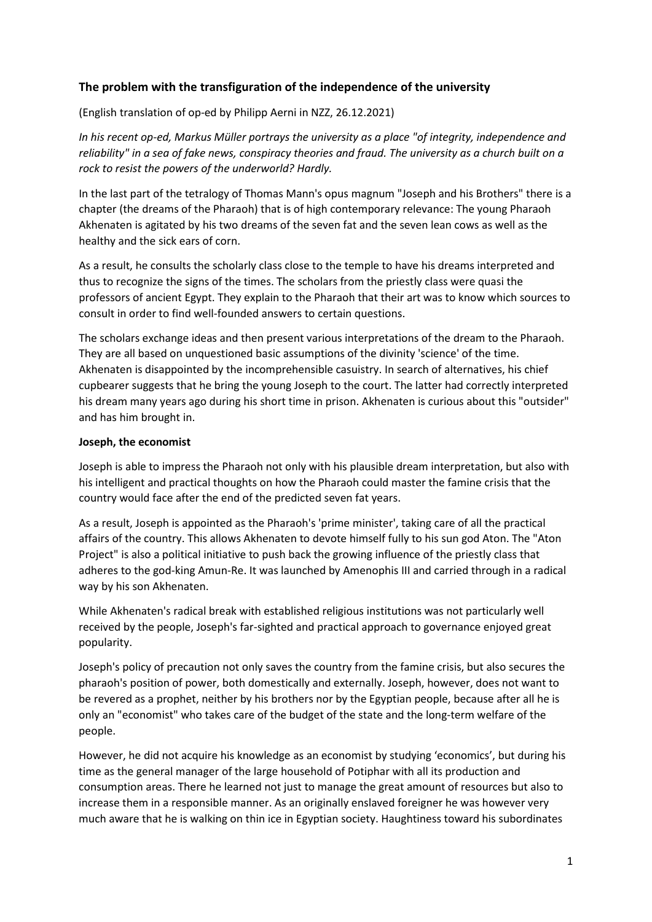# **The problem with the transfiguration of the independence of the university**

(English translation of op-ed by Philipp Aerni in NZZ, 26.12.2021)

*In his recent op-ed, Markus Müller portrays the university as a place "of integrity, independence and reliability" in a sea of fake news, conspiracy theories and fraud. The university as a church built on a rock to resist the powers of the underworld? Hardly.*

In the last part of the tetralogy of Thomas Mann's opus magnum "Joseph and his Brothers" there is a chapter (the dreams of the Pharaoh) that is of high contemporary relevance: The young Pharaoh Akhenaten is agitated by his two dreams of the seven fat and the seven lean cows as well as the healthy and the sick ears of corn.

As a result, he consults the scholarly class close to the temple to have his dreams interpreted and thus to recognize the signs of the times. The scholars from the priestly class were quasi the professors of ancient Egypt. They explain to the Pharaoh that their art was to know which sources to consult in order to find well-founded answers to certain questions.

The scholars exchange ideas and then present various interpretations of the dream to the Pharaoh. They are all based on unquestioned basic assumptions of the divinity 'science' of the time. Akhenaten is disappointed by the incomprehensible casuistry. In search of alternatives, his chief cupbearer suggests that he bring the young Joseph to the court. The latter had correctly interpreted his dream many years ago during his short time in prison. Akhenaten is curious about this "outsider" and has him brought in.

## **Joseph, the economist**

Joseph is able to impress the Pharaoh not only with his plausible dream interpretation, but also with his intelligent and practical thoughts on how the Pharaoh could master the famine crisis that the country would face after the end of the predicted seven fat years.

As a result, Joseph is appointed as the Pharaoh's 'prime minister', taking care of all the practical affairs of the country. This allows Akhenaten to devote himself fully to his sun god Aton. The "Aton Project" is also a political initiative to push back the growing influence of the priestly class that adheres to the god-king Amun-Re. It was launched by Amenophis III and carried through in a radical way by his son Akhenaten.

While Akhenaten's radical break with established religious institutions was not particularly well received by the people, Joseph's far-sighted and practical approach to governance enjoyed great popularity.

Joseph's policy of precaution not only saves the country from the famine crisis, but also secures the pharaoh's position of power, both domestically and externally. Joseph, however, does not want to be revered as a prophet, neither by his brothers nor by the Egyptian people, because after all he is only an "economist" who takes care of the budget of the state and the long-term welfare of the people.

However, he did not acquire his knowledge as an economist by studying 'economics', but during his time as the general manager of the large household of Potiphar with all its production and consumption areas. There he learned not just to manage the great amount of resources but also to increase them in a responsible manner. As an originally enslaved foreigner he was however very much aware that he is walking on thin ice in Egyptian society. Haughtiness toward his subordinates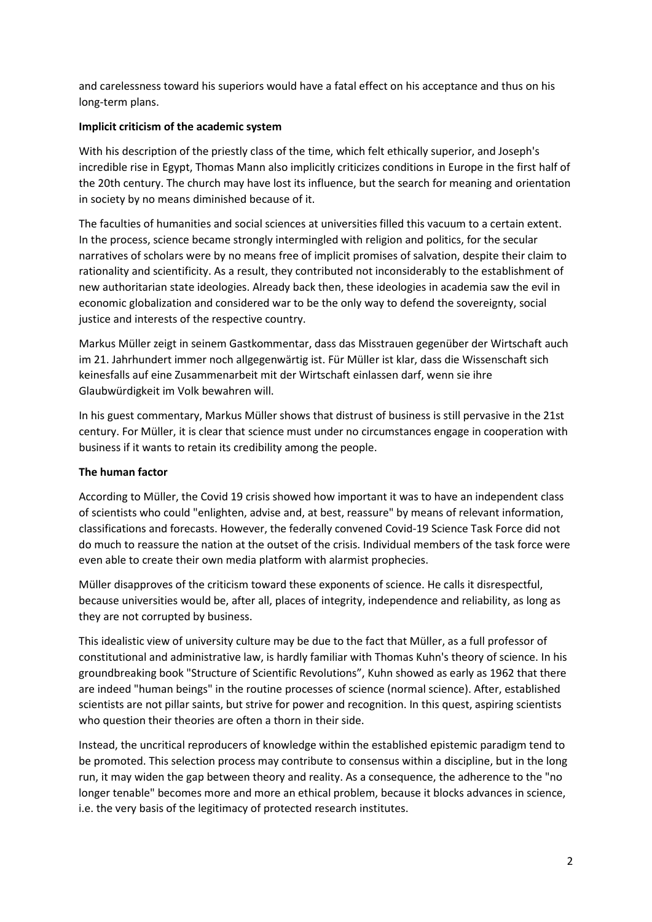and carelessness toward his superiors would have a fatal effect on his acceptance and thus on his long-term plans.

## **Implicit criticism of the academic system**

With his description of the priestly class of the time, which felt ethically superior, and Joseph's incredible rise in Egypt, Thomas Mann also implicitly criticizes conditions in Europe in the first half of the 20th century. The church may have lost its influence, but the search for meaning and orientation in society by no means diminished because of it.

The faculties of humanities and social sciences at universities filled this vacuum to a certain extent. In the process, science became strongly intermingled with religion and politics, for the secular narratives of scholars were by no means free of implicit promises of salvation, despite their claim to rationality and scientificity. As a result, they contributed not inconsiderably to the establishment of new authoritarian state ideologies. Already back then, these ideologies in academia saw the evil in economic globalization and considered war to be the only way to defend the sovereignty, social justice and interests of the respective country.

Markus Müller zeigt in seinem Gastkommentar, dass das Misstrauen gegenüber der Wirtschaft auch im 21. Jahrhundert immer noch allgegenwärtig ist. Für Müller ist klar, dass die Wissenschaft sich keinesfalls auf eine Zusammenarbeit mit der Wirtschaft einlassen darf, wenn sie ihre Glaubwürdigkeit im Volk bewahren will.

In his guest commentary, Markus Müller shows that distrust of business is still pervasive in the 21st century. For Müller, it is clear that science must under no circumstances engage in cooperation with business if it wants to retain its credibility among the people.

#### **The human factor**

According to Müller, the Covid 19 crisis showed how important it was to have an independent class of scientists who could "enlighten, advise and, at best, reassure" by means of relevant information, classifications and forecasts. However, the federally convened Covid-19 Science Task Force did not do much to reassure the nation at the outset of the crisis. Individual members of the task force were even able to create their own media platform with alarmist prophecies.

Müller disapproves of the criticism toward these exponents of science. He calls it disrespectful, because universities would be, after all, places of integrity, independence and reliability, as long as they are not corrupted by business.

This idealistic view of university culture may be due to the fact that Müller, as a full professor of constitutional and administrative law, is hardly familiar with Thomas Kuhn's theory of science. In his groundbreaking book "Structure of Scientific Revolutions", Kuhn showed as early as 1962 that there are indeed "human beings" in the routine processes of science (normal science). After, established scientists are not pillar saints, but strive for power and recognition. In this quest, aspiring scientists who question their theories are often a thorn in their side.

Instead, the uncritical reproducers of knowledge within the established epistemic paradigm tend to be promoted. This selection process may contribute to consensus within a discipline, but in the long run, it may widen the gap between theory and reality. As a consequence, the adherence to the "no longer tenable" becomes more and more an ethical problem, because it blocks advances in science, i.e. the very basis of the legitimacy of protected research institutes.